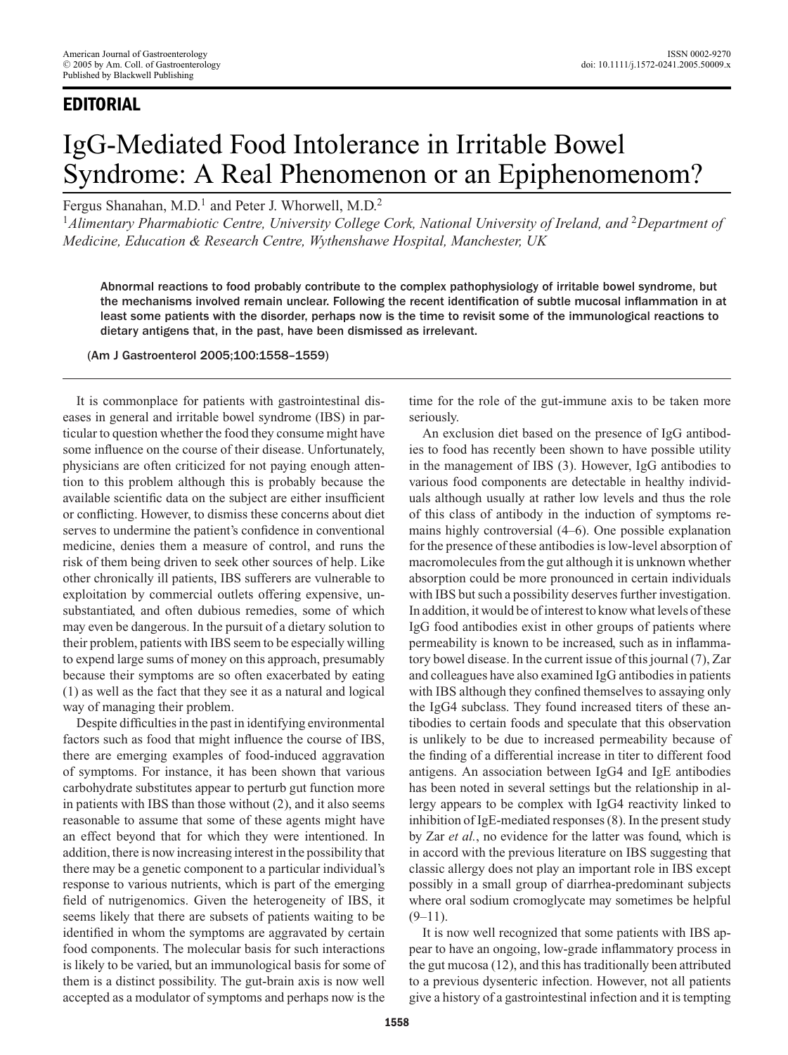## **EDITORIAL**

## IgG-Mediated Food Intolerance in Irritable Bowel Syndrome: A Real Phenomenon or an Epiphenomenom?

Fergus Shanahan, M.D.<sup>1</sup> and Peter J. Whorwell, M.D.<sup>2</sup>

<sup>1</sup>*Alimentary Pharmabiotic Centre, University College Cork, National University of Ireland, and* <sup>2</sup>*Department of Medicine, Education & Research Centre, Wythenshawe Hospital, Manchester, UK*

Abnormal reactions to food probably contribute to the complex pathophysiology of irritable bowel syndrome, but the mechanisms involved remain unclear. Following the recent identification of subtle mucosal inflammation in at least some patients with the disorder, perhaps now is the time to revisit some of the immunological reactions to dietary antigens that, in the past, have been dismissed as irrelevant.

(Am J Gastroenterol 2005;100:1558–1559)

It is commonplace for patients with gastrointestinal diseases in general and irritable bowel syndrome (IBS) in particular to question whether the food they consume might have some influence on the course of their disease. Unfortunately, physicians are often criticized for not paying enough attention to this problem although this is probably because the available scientific data on the subject are either insufficient or conflicting. However, to dismiss these concerns about diet serves to undermine the patient's confidence in conventional medicine, denies them a measure of control, and runs the risk of them being driven to seek other sources of help. Like other chronically ill patients, IBS sufferers are vulnerable to exploitation by commercial outlets offering expensive, unsubstantiated, and often dubious remedies, some of which may even be dangerous. In the pursuit of a dietary solution to their problem, patients with IBS seem to be especially willing to expend large sums of money on this approach, presumably because their symptoms are so often exacerbated by eating (1) as well as the fact that they see it as a natural and logical way of managing their problem.

Despite difficulties in the past in identifying environmental factors such as food that might influence the course of IBS, there are emerging examples of food-induced aggravation of symptoms. For instance, it has been shown that various carbohydrate substitutes appear to perturb gut function more in patients with IBS than those without (2), and it also seems reasonable to assume that some of these agents might have an effect beyond that for which they were intentioned. In addition, there is now increasing interest in the possibility that there may be a genetic component to a particular individual's response to various nutrients, which is part of the emerging field of nutrigenomics. Given the heterogeneity of IBS, it seems likely that there are subsets of patients waiting to be identified in whom the symptoms are aggravated by certain food components. The molecular basis for such interactions is likely to be varied, but an immunological basis for some of them is a distinct possibility. The gut-brain axis is now well accepted as a modulator of symptoms and perhaps now is the

time for the role of the gut-immune axis to be taken more seriously.

An exclusion diet based on the presence of IgG antibodies to food has recently been shown to have possible utility in the management of IBS (3). However, IgG antibodies to various food components are detectable in healthy individuals although usually at rather low levels and thus the role of this class of antibody in the induction of symptoms remains highly controversial (4–6). One possible explanation for the presence of these antibodies is low-level absorption of macromolecules from the gut although it is unknown whether absorption could be more pronounced in certain individuals with IBS but such a possibility deserves further investigation. In addition, it would be of interest to know what levels of these IgG food antibodies exist in other groups of patients where permeability is known to be increased, such as in inflammatory bowel disease. In the current issue of this journal (7), Zar and colleagues have also examined IgG antibodies in patients with IBS although they confined themselves to assaying only the IgG4 subclass. They found increased titers of these antibodies to certain foods and speculate that this observation is unlikely to be due to increased permeability because of the finding of a differential increase in titer to different food antigens. An association between IgG4 and IgE antibodies has been noted in several settings but the relationship in allergy appears to be complex with IgG4 reactivity linked to inhibition of IgE-mediated responses (8). In the present study by Zar *et al.*, no evidence for the latter was found, which is in accord with the previous literature on IBS suggesting that classic allergy does not play an important role in IBS except possibly in a small group of diarrhea-predominant subjects where oral sodium cromoglycate may sometimes be helpful  $(9-11)$ .

It is now well recognized that some patients with IBS appear to have an ongoing, low-grade inflammatory process in the gut mucosa (12), and this has traditionally been attributed to a previous dysenteric infection. However, not all patients give a history of a gastrointestinal infection and it is tempting